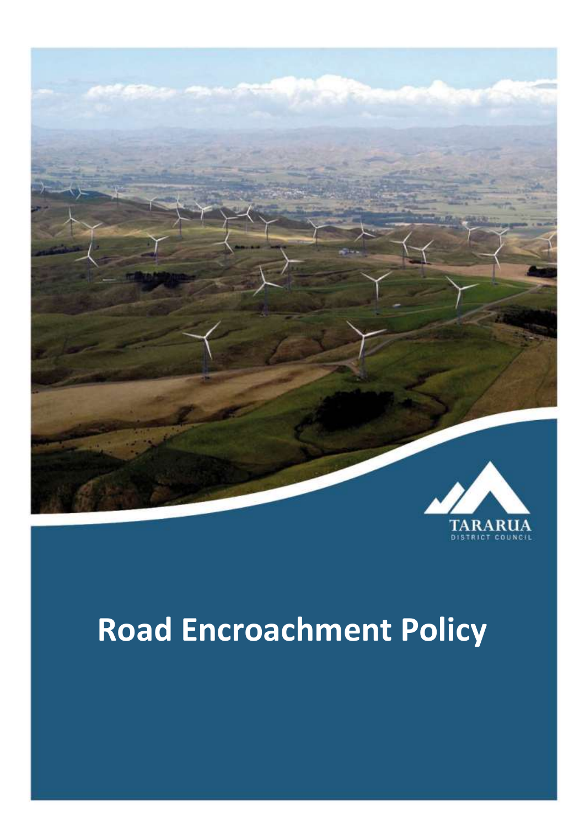

## **Road Encroachment Policy**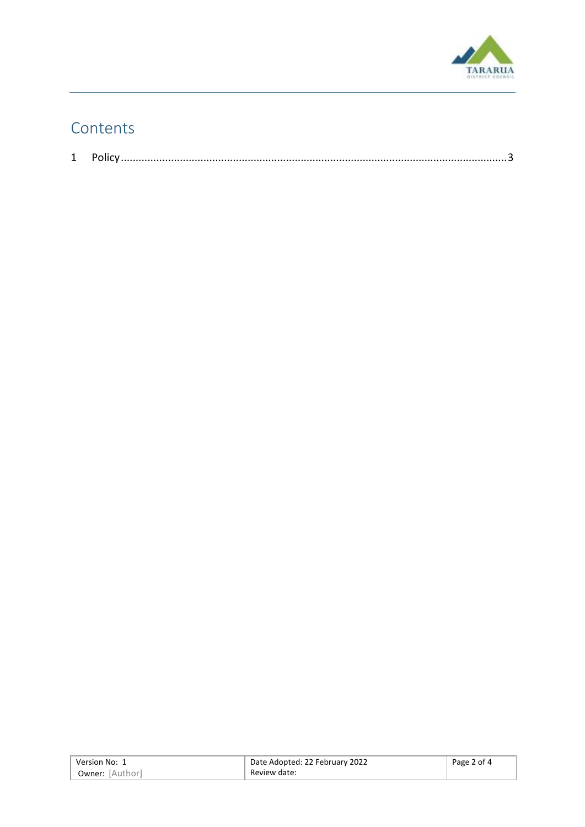

## Contents

|--|--|--|

| Version No: 1          | Date Adopted: 22 February 2022 | Page 2 of 4 |
|------------------------|--------------------------------|-------------|
| <b>Owner:</b> [Author] | Review date:                   |             |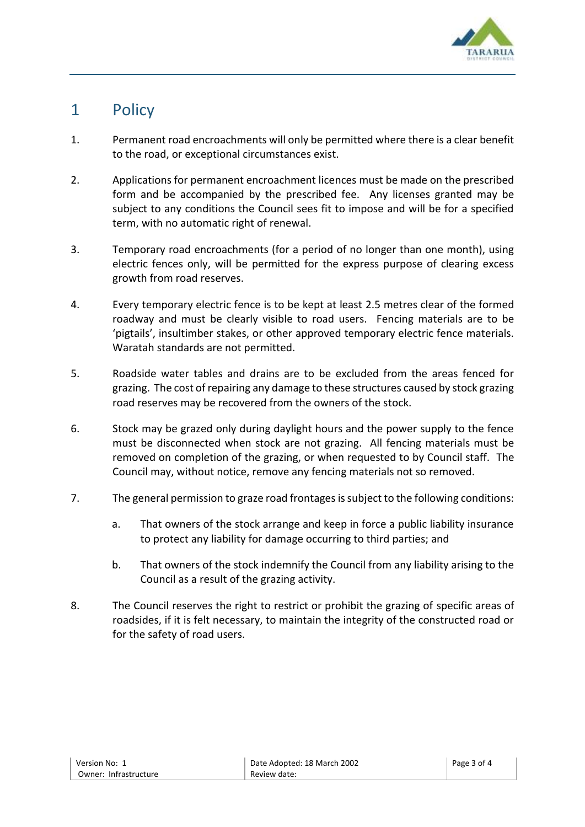

## <span id="page-2-0"></span>1 Policy

- 1. Permanent road encroachments will only be permitted where there is a clear benefit to the road, or exceptional circumstances exist.
- 2. Applications for permanent encroachment licences must be made on the prescribed form and be accompanied by the prescribed fee. Any licenses granted may be subject to any conditions the Council sees fit to impose and will be for a specified term, with no automatic right of renewal.
- 3. Temporary road encroachments (for a period of no longer than one month), using electric fences only, will be permitted for the express purpose of clearing excess growth from road reserves.
- 4. Every temporary electric fence is to be kept at least 2.5 metres clear of the formed roadway and must be clearly visible to road users. Fencing materials are to be 'pigtails', insultimber stakes, or other approved temporary electric fence materials. Waratah standards are not permitted.
- 5. Roadside water tables and drains are to be excluded from the areas fenced for grazing. The cost of repairing any damage to these structures caused by stock grazing road reserves may be recovered from the owners of the stock.
- 6. Stock may be grazed only during daylight hours and the power supply to the fence must be disconnected when stock are not grazing. All fencing materials must be removed on completion of the grazing, or when requested to by Council staff. The Council may, without notice, remove any fencing materials not so removed.
- 7. The general permission to graze road frontages is subject to the following conditions:
	- a. That owners of the stock arrange and keep in force a public liability insurance to protect any liability for damage occurring to third parties; and
	- b. That owners of the stock indemnify the Council from any liability arising to the Council as a result of the grazing activity.
- 8. The Council reserves the right to restrict or prohibit the grazing of specific areas of roadsides, if it is felt necessary, to maintain the integrity of the constructed road or for the safety of road users.